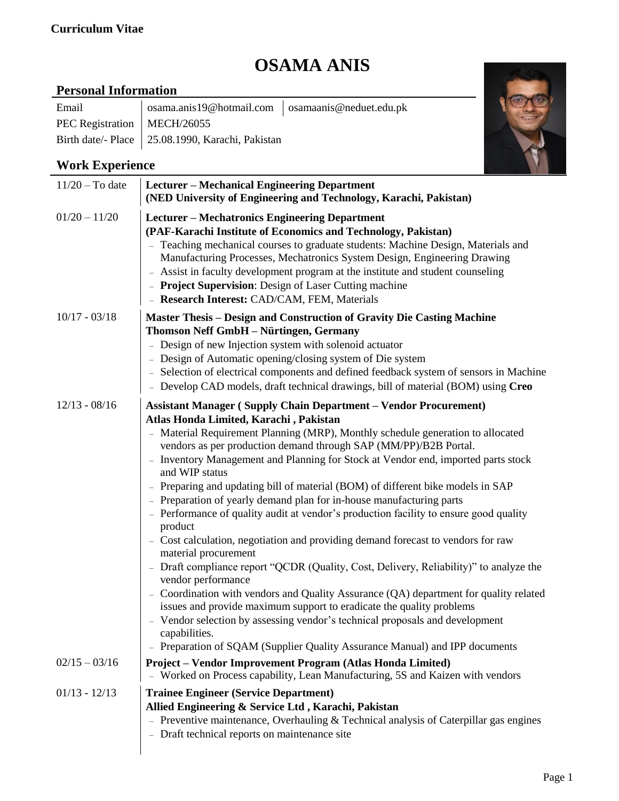#### **Curriculum Vitae**

# **OSAMA ANIS**

### **Personal Information**

| Email                         | osama.anis19@hotmail.com   osamaanis@neduet.edu.pk |  |
|-------------------------------|----------------------------------------------------|--|
| PEC Registration   MECH/26055 |                                                    |  |
|                               | Birth date/- Place   25.08.1990, Karachi, Pakistan |  |



## **Work Experience**

| $11/20$ – To date | <b>Lecturer - Mechanical Engineering Department</b><br>(NED University of Engineering and Technology, Karachi, Pakistan)                                                                                                                                                                                                                                                                                                                                                                                                                                                                                                                                                                                                                                                                                                                                                                                                                                                                                                                                                                                                                                                                                                |
|-------------------|-------------------------------------------------------------------------------------------------------------------------------------------------------------------------------------------------------------------------------------------------------------------------------------------------------------------------------------------------------------------------------------------------------------------------------------------------------------------------------------------------------------------------------------------------------------------------------------------------------------------------------------------------------------------------------------------------------------------------------------------------------------------------------------------------------------------------------------------------------------------------------------------------------------------------------------------------------------------------------------------------------------------------------------------------------------------------------------------------------------------------------------------------------------------------------------------------------------------------|
| $01/20 - 11/20$   | <b>Lecturer - Mechatronics Engineering Department</b><br>(PAF-Karachi Institute of Economics and Technology, Pakistan)<br>- Teaching mechanical courses to graduate students: Machine Design, Materials and<br>Manufacturing Processes, Mechatronics System Design, Engineering Drawing<br>- Assist in faculty development program at the institute and student counseling<br>- Project Supervision: Design of Laser Cutting machine<br>- Research Interest: CAD/CAM, FEM, Materials                                                                                                                                                                                                                                                                                                                                                                                                                                                                                                                                                                                                                                                                                                                                    |
| $10/17 - 03/18$   | <b>Master Thesis - Design and Construction of Gravity Die Casting Machine</b><br>Thomson Neff GmbH - Nürtingen, Germany<br>- Design of new Injection system with solenoid actuator<br>- Design of Automatic opening/closing system of Die system<br>- Selection of electrical components and defined feedback system of sensors in Machine<br>- Develop CAD models, draft technical drawings, bill of material (BOM) using Creo                                                                                                                                                                                                                                                                                                                                                                                                                                                                                                                                                                                                                                                                                                                                                                                         |
| $12/13 - 08/16$   | <b>Assistant Manager (Supply Chain Department - Vendor Procurement)</b><br>Atlas Honda Limited, Karachi, Pakistan<br>- Material Requirement Planning (MRP), Monthly schedule generation to allocated<br>vendors as per production demand through SAP (MM/PP)/B2B Portal.<br>Inventory Management and Planning for Stock at Vendor end, imported parts stock<br>and WIP status<br>- Preparing and updating bill of material (BOM) of different bike models in SAP<br>- Preparation of yearly demand plan for in-house manufacturing parts<br>- Performance of quality audit at vendor's production facility to ensure good quality<br>product<br>- Cost calculation, negotiation and providing demand forecast to vendors for raw<br>material procurement<br>Draft compliance report "QCDR (Quality, Cost, Delivery, Reliability)" to analyze the<br>vendor performance<br>- Coordination with vendors and Quality Assurance (QA) department for quality related<br>issues and provide maximum support to eradicate the quality problems<br>- Vendor selection by assessing vendor's technical proposals and development<br>capabilities.<br>- Preparation of SQAM (Supplier Quality Assurance Manual) and IPP documents |
| $02/15 - 03/16$   | Project – Vendor Improvement Program (Atlas Honda Limited)<br>- Worked on Process capability, Lean Manufacturing, 5S and Kaizen with vendors                                                                                                                                                                                                                                                                                                                                                                                                                                                                                                                                                                                                                                                                                                                                                                                                                                                                                                                                                                                                                                                                            |
| $01/13 - 12/13$   | <b>Trainee Engineer (Service Department)</b><br>Allied Engineering & Service Ltd, Karachi, Pakistan<br>- Preventive maintenance, Overhauling $&$ Technical analysis of Caterpillar gas engines<br>Draft technical reports on maintenance site<br>$\overline{\phantom{0}}$                                                                                                                                                                                                                                                                                                                                                                                                                                                                                                                                                                                                                                                                                                                                                                                                                                                                                                                                               |